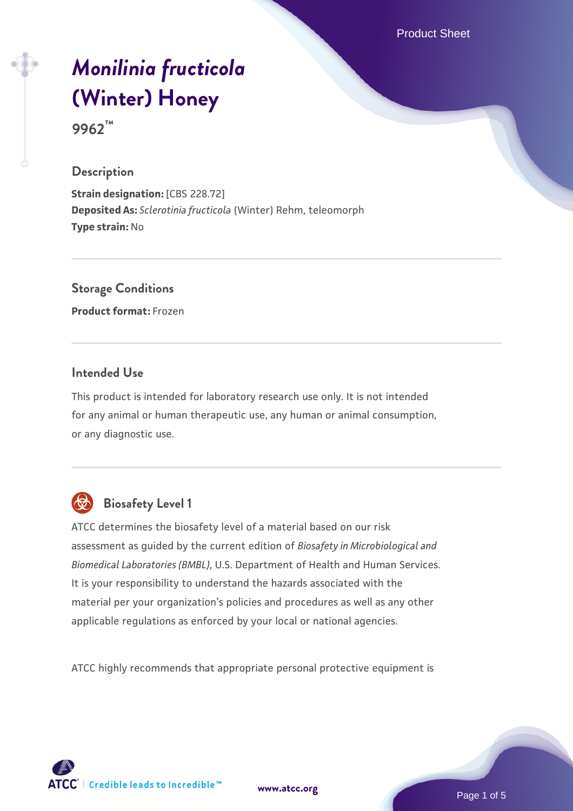Product Sheet

# *[Monilinia fructicola](https://www.atcc.org/products/9962)* **[\(Winter\) Honey](https://www.atcc.org/products/9962)**

**9962™**

#### **Description**

**Strain designation:** [CBS 228.72] **Deposited As:** *Sclerotinia fructicola* (Winter) Rehm, teleomorph **Type strain:** No

**Storage Conditions**

**Product format:** Frozen

#### **Intended Use**

This product is intended for laboratory research use only. It is not intended for any animal or human therapeutic use, any human or animal consumption, or any diagnostic use.



# **Biosafety Level 1**

ATCC determines the biosafety level of a material based on our risk assessment as guided by the current edition of *Biosafety in Microbiological and Biomedical Laboratories (BMBL)*, U.S. Department of Health and Human Services. It is your responsibility to understand the hazards associated with the material per your organization's policies and procedures as well as any other applicable regulations as enforced by your local or national agencies.

ATCC highly recommends that appropriate personal protective equipment is

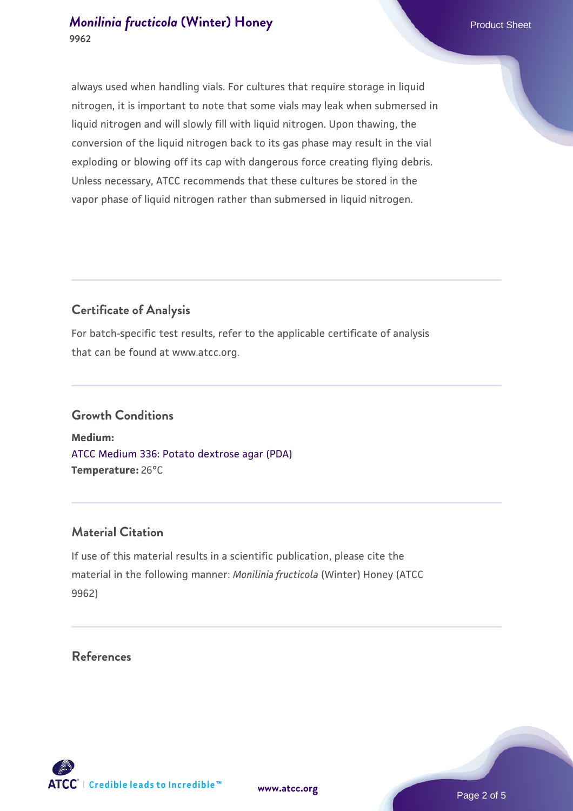# *[Monilinia fructicola](https://www.atcc.org/products/9962)* **[\(Winter\) Honey](https://www.atcc.org/products/9962) Product Sheet** Product Sheet **9962**

always used when handling vials. For cultures that require storage in liquid nitrogen, it is important to note that some vials may leak when submersed in liquid nitrogen and will slowly fill with liquid nitrogen. Upon thawing, the conversion of the liquid nitrogen back to its gas phase may result in the vial exploding or blowing off its cap with dangerous force creating flying debris. Unless necessary, ATCC recommends that these cultures be stored in the vapor phase of liquid nitrogen rather than submersed in liquid nitrogen.

# **Certificate of Analysis**

For batch-specific test results, refer to the applicable certificate of analysis that can be found at www.atcc.org.

#### **Growth Conditions**

**Medium:**  [ATCC Medium 336: Potato dextrose agar \(PDA\)](https://www.atcc.org/-/media/product-assets/documents/microbial-media-formulations/3/3/6/atcc-medium-336.pdf?rev=d9160ad44d934cd8b65175461abbf3b9) **Temperature:** 26°C

# **Material Citation**

If use of this material results in a scientific publication, please cite the material in the following manner: *Monilinia fructicola* (Winter) Honey (ATCC 9962)

#### **References**

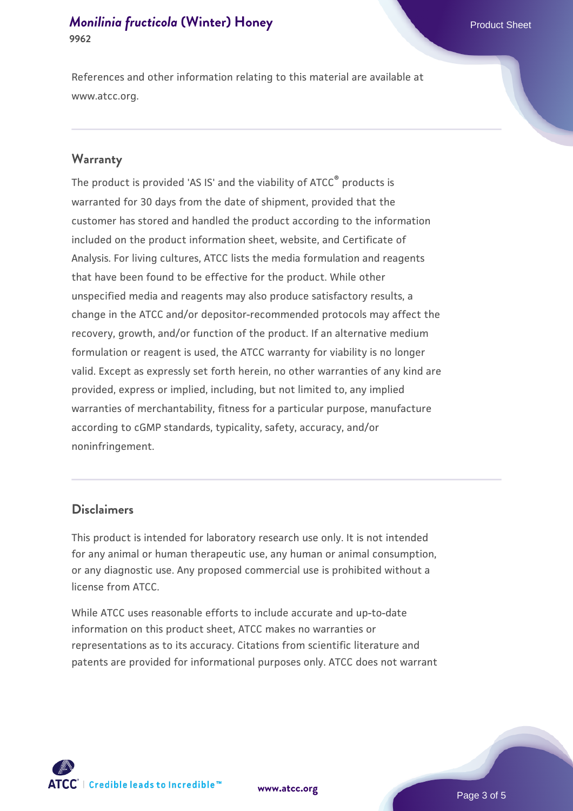#### *[Monilinia fructicola](https://www.atcc.org/products/9962)* **[\(Winter\) Honey](https://www.atcc.org/products/9962) Product Sheet** Product Sheet **9962**

References and other information relating to this material are available at www.atcc.org.

#### **Warranty**

The product is provided 'AS IS' and the viability of ATCC® products is warranted for 30 days from the date of shipment, provided that the customer has stored and handled the product according to the information included on the product information sheet, website, and Certificate of Analysis. For living cultures, ATCC lists the media formulation and reagents that have been found to be effective for the product. While other unspecified media and reagents may also produce satisfactory results, a change in the ATCC and/or depositor-recommended protocols may affect the recovery, growth, and/or function of the product. If an alternative medium formulation or reagent is used, the ATCC warranty for viability is no longer valid. Except as expressly set forth herein, no other warranties of any kind are provided, express or implied, including, but not limited to, any implied warranties of merchantability, fitness for a particular purpose, manufacture according to cGMP standards, typicality, safety, accuracy, and/or noninfringement.

#### **Disclaimers**

This product is intended for laboratory research use only. It is not intended for any animal or human therapeutic use, any human or animal consumption, or any diagnostic use. Any proposed commercial use is prohibited without a license from ATCC.

While ATCC uses reasonable efforts to include accurate and up-to-date information on this product sheet, ATCC makes no warranties or representations as to its accuracy. Citations from scientific literature and patents are provided for informational purposes only. ATCC does not warrant





Page 3 of 5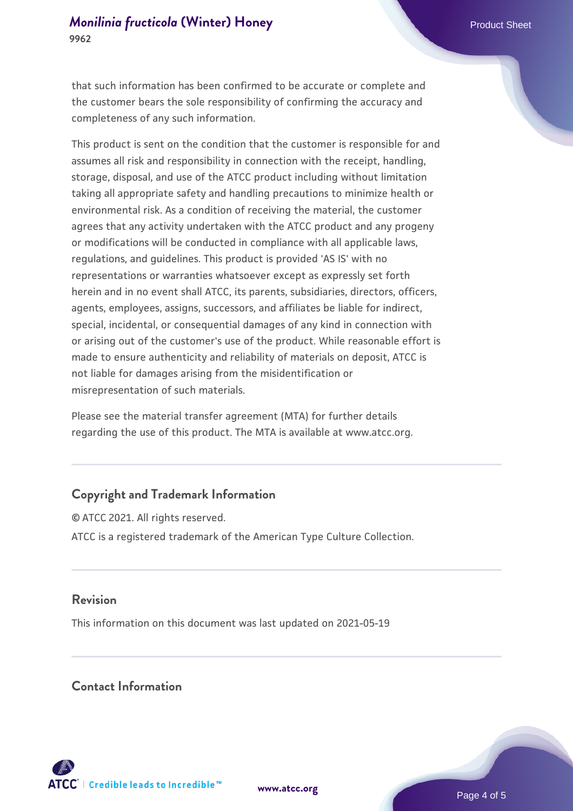that such information has been confirmed to be accurate or complete and the customer bears the sole responsibility of confirming the accuracy and completeness of any such information.

This product is sent on the condition that the customer is responsible for and assumes all risk and responsibility in connection with the receipt, handling, storage, disposal, and use of the ATCC product including without limitation taking all appropriate safety and handling precautions to minimize health or environmental risk. As a condition of receiving the material, the customer agrees that any activity undertaken with the ATCC product and any progeny or modifications will be conducted in compliance with all applicable laws, regulations, and guidelines. This product is provided 'AS IS' with no representations or warranties whatsoever except as expressly set forth herein and in no event shall ATCC, its parents, subsidiaries, directors, officers, agents, employees, assigns, successors, and affiliates be liable for indirect, special, incidental, or consequential damages of any kind in connection with or arising out of the customer's use of the product. While reasonable effort is made to ensure authenticity and reliability of materials on deposit, ATCC is not liable for damages arising from the misidentification or misrepresentation of such materials.

Please see the material transfer agreement (MTA) for further details regarding the use of this product. The MTA is available at www.atcc.org.

# **Copyright and Trademark Information**

© ATCC 2021. All rights reserved. ATCC is a registered trademark of the American Type Culture Collection.

#### **Revision**

This information on this document was last updated on 2021-05-19

# **Contact Information**